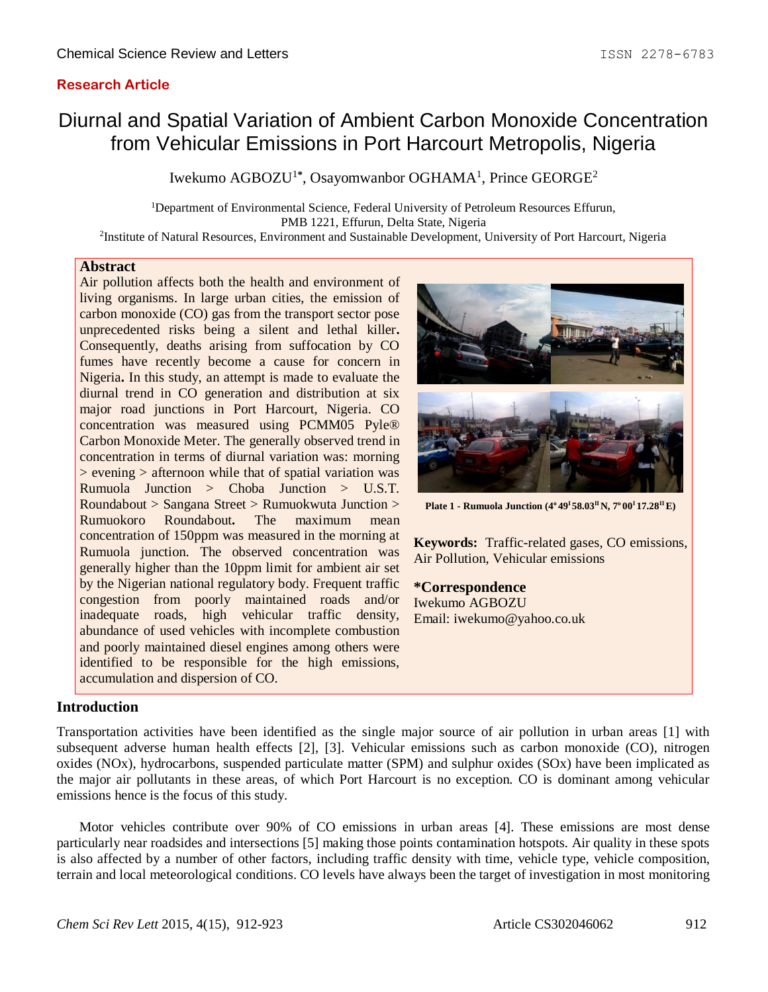## **Research Article**

# Diurnal and Spatial Variation of Ambient Carbon Monoxide Concentration from Vehicular Emissions in Port Harcourt Metropolis, Nigeria

Iwekumo AGBOZU<sup>1\*</sup>, Osayomwanbor OGHAMA<sup>1</sup>, Prince GEORGE<sup>2</sup>

<sup>1</sup>Department of Environmental Science, Federal University of Petroleum Resources Effurun, PMB 1221, Effurun, Delta State, Nigeria 2 Institute of Natural Resources, Environment and Sustainable Development, University of Port Harcourt, Nigeria

#### **Abstract**

Air pollution affects both the health and environment of living organisms. In large urban cities, the emission of carbon monoxide (CO) gas from the transport sector pose unprecedented risks being a silent and lethal killer**.**  Consequently, deaths arising from suffocation by CO fumes have recently become a cause for concern in Nigeria**.** In this study, an attempt is made to evaluate the diurnal trend in CO generation and distribution at six major road junctions in Port Harcourt, Nigeria. CO concentration was measured using PCMM05 Pyle® Carbon Monoxide Meter. The generally observed trend in concentration in terms of diurnal variation was: morning  $>$  evening  $>$  afternoon while that of spatial variation was Rumuola Junction > Choba Junction > U.S.T. Roundabout > Sangana Street > Rumuokwuta Junction > Rumuokoro Roundabout**.** The maximum mean concentration of 150ppm was measured in the morning at Rumuola junction. The observed concentration was generally higher than the 10ppm limit for ambient air set by the Nigerian national regulatory body. Frequent traffic congestion from poorly maintained roads and/or inadequate roads, high vehicular traffic density, abundance of used vehicles with incomplete combustion and poorly maintained diesel engines among others were identified to be responsible for the high emissions, accumulation and dispersion of CO.



**Plate 1 - Rumuola Junction (4<sup>o</sup>49<sup>I</sup>58.03II N, 7<sup>o</sup>00<sup>I</sup>17.28II E)**

**Keywords:** Traffic-related gases, CO emissions, Air Pollution, Vehicular emissions

#### **\*Correspondence**

Iwekumo AGBOZU Email: iwekumo@yahoo.co.uk

#### **Introduction**

Transportation activities have been identified as the single major source of air pollution in urban areas [1] with subsequent adverse human health effects [2], [3]. Vehicular emissions such as carbon monoxide (CO), nitrogen oxides (NOx), hydrocarbons, suspended particulate matter (SPM) and sulphur oxides (SOx) have been implicated as the major air pollutants in these areas, of which Port Harcourt is no exception. CO is dominant among vehicular emissions hence is the focus of this study.

Motor vehicles contribute over 90% of CO emissions in urban areas [4]. These emissions are most dense particularly near roadsides and intersections [5] making those points contamination hotspots. Air quality in these spots is also affected by a number of other factors, including traffic density with time, vehicle type, vehicle composition, terrain and local meteorological conditions. CO levels have always been the target of investigation in most monitoring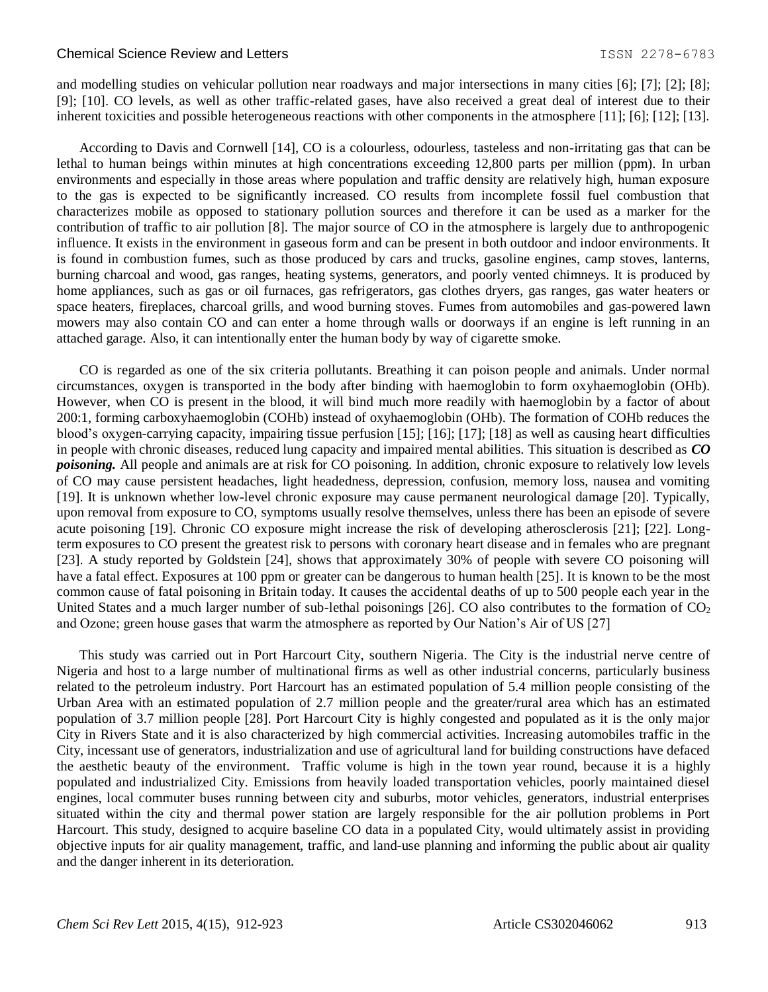#### Chemical Science Review and Letters **ISSN 2278-6783** 1SSN 2278-6783

and modelling studies on vehicular pollution near roadways and major intersections in many cities [6]; [7]; [2]; [8]; [9]; [10]. CO levels, as well as other traffic-related gases, have also received a great deal of interest due to their inherent toxicities and possible heterogeneous reactions with other components in the atmosphere [11]; [6]; [12]; [13].

According to Davis and Cornwell [14], CO is a colourless, odourless, tasteless and non-irritating gas that can be lethal to human beings within minutes at high concentrations exceeding 12,800 parts per million (ppm). In urban environments and especially in those areas where population and traffic density are relatively high, human exposure to the gas is expected to be significantly increased. CO results from incomplete fossil fuel combustion that characterizes mobile as opposed to stationary pollution sources and therefore it can be used as a marker for the contribution of traffic to air pollution [8]. The major source of CO in the atmosphere is largely due to anthropogenic influence. It exists in the environment in gaseous form and can be present in both outdoor and indoor environments. It is found in combustion fumes, such as those produced by cars and trucks, gasoline engines, camp stoves, lanterns, burning charcoal and wood, gas ranges, heating systems, generators, and poorly vented chimneys. It is produced by home appliances, such as gas or oil furnaces, gas refrigerators, gas clothes dryers, gas ranges, gas water heaters or space heaters, fireplaces, charcoal grills, and wood burning stoves. Fumes from automobiles and gas-powered lawn mowers may also contain CO and can enter a home through walls or doorways if an engine is left running in an attached garage. Also, it can intentionally enter the human body by way of cigarette smoke.

CO is regarded as one of the six criteria pollutants. Breathing it can poison people and animals. Under normal circumstances, oxygen is transported in the body after binding with haemoglobin to form oxyhaemoglobin (OHb). However, when CO is present in the blood, it will bind much more readily with haemoglobin by a factor of about 200:1, forming carboxyhaemoglobin (COHb) instead of oxyhaemoglobin (OHb). The formation of COHb reduces the blood's oxygen-carrying capacity, impairing tissue perfusion [15]; [16]; [17]; [18] as well as causing heart difficulties in people with chronic diseases, reduced lung capacity and impaired mental abilities. This situation is described as *CO poisoning.* All people and animals are at risk for CO poisoning. In addition, chronic exposure to relatively low levels of CO may cause persistent headaches, light headedness, depression, confusion, memory loss, nausea and vomiting [19]. It is unknown whether low-level chronic exposure may cause permanent neurological damage [20]. Typically, upon removal from exposure to CO, symptoms usually resolve themselves, unless there has been an episode of severe acute poisoning [19]. Chronic CO exposure might increase the risk of developing atherosclerosis [21]; [22]. Longterm exposures to CO present the greatest risk to persons with coronary heart disease and in females who are pregnant [23]. A study reported by Goldstein [24], shows that approximately 30% of people with severe CO poisoning will have a fatal effect. Exposures at 100 ppm or greater can be dangerous to human health [25]. It is known to be the most common cause of fatal poisoning in Britain today. It causes the accidental deaths of up to 500 people each year in the United States and a much larger number of sub-lethal poisonings [26]. CO also contributes to the formation of  $CO<sub>2</sub>$ and Ozone; green house gases that warm the atmosphere as reported by Our Nation's Air of US [27]

This study was carried out in Port Harcourt City, southern Nigeria. The City is the industrial nerve centre of Nigeria and host to a large number of multinational firms as well as other industrial concerns, particularly business related to the petroleum industry. Port Harcourt has an estimated population of 5.4 million people consisting of the Urban Area with an estimated population of 2.7 million people and the greater/rural area which has an estimated population of 3.7 million people [28]. Port Harcourt City is highly congested and populated as it is the only major City in Rivers State and it is also characterized by high commercial activities. Increasing automobiles traffic in the City, incessant use of generators, industrialization and use of agricultural land for building constructions have defaced the aesthetic beauty of the environment. Traffic volume is high in the town year round, because it is a highly populated and industrialized City. Emissions from heavily loaded transportation vehicles, poorly maintained diesel engines, local commuter buses running between city and suburbs, motor vehicles, generators, industrial enterprises situated within the city and thermal power station are largely responsible for the air pollution problems in Port Harcourt. This study, designed to acquire baseline CO data in a populated City, would ultimately assist in providing objective inputs for air quality management, traffic, and land-use planning and informing the public about air quality and the danger inherent in its deterioration.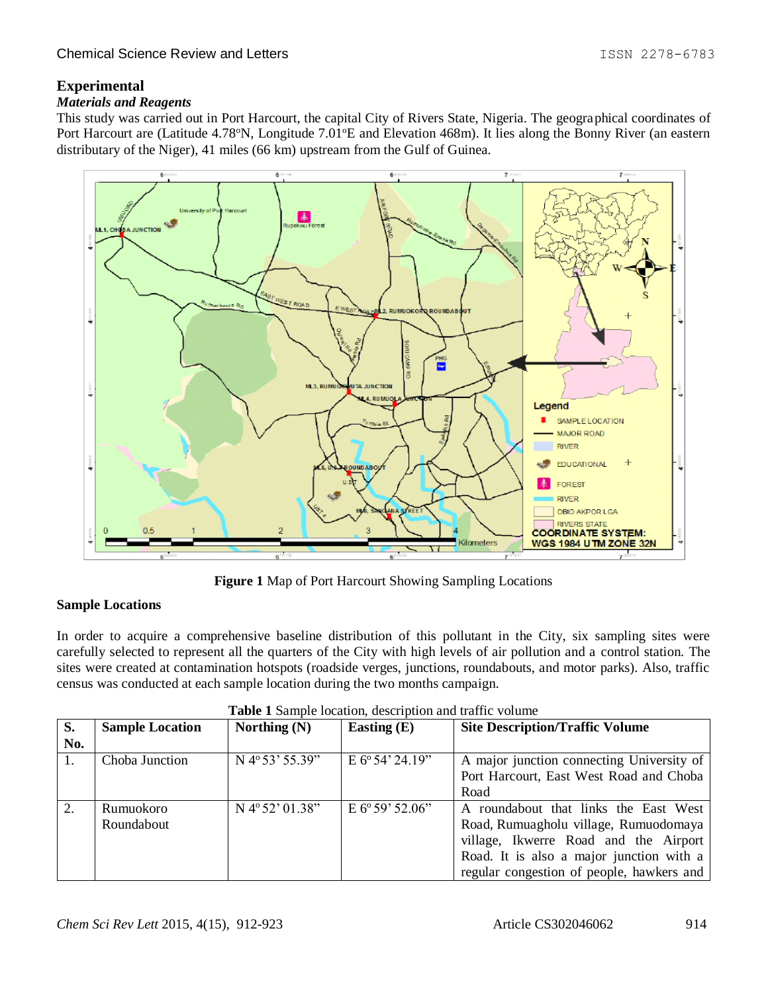# **Experimental**

## *Materials and Reagents*

This study was carried out in Port Harcourt, the capital City of Rivers State, Nigeria. The geographical coordinates of Port Harcourt are (Latitude 4.78°N, Longitude 7.01°E and Elevation 468m). It lies along the Bonny River (an eastern distributary of the Niger), 41 miles (66 km) upstream from the Gulf of Guinea.



**Figure 1** Map of Port Harcourt Showing Sampling Locations

## **Sample Locations**

In order to acquire a comprehensive baseline distribution of this pollutant in the City, six sampling sites were carefully selected to represent all the quarters of the City with high levels of air pollution and a control station. The sites were created at contamination hotspots (roadside verges, junctions, roundabouts, and motor parks). Also, traffic census was conducted at each sample location during the two months campaign.

| S.  | <b>Sample Location</b> | Northing $(N)$            | Easting $(E)$             | <b>Site Description/Traffic Volume</b>    |
|-----|------------------------|---------------------------|---------------------------|-------------------------------------------|
| No. |                        |                           |                           |                                           |
| Ι.  | Choba Junction         | N 4°53' 55.39"            | $E 6^{\circ} 54' 24.19''$ | A major junction connecting University of |
|     |                        |                           |                           | Port Harcourt, East West Road and Choba   |
|     |                        |                           |                           | Road                                      |
| 2.  | Rumuokoro              | $N 4^{\circ} 52' 01.38''$ | $E 6^{\circ} 59' 52.06''$ | A roundabout that links the East West     |
|     | Roundabout             |                           |                           | Road, Rumuagholu village, Rumuodomaya     |
|     |                        |                           |                           | village, Ikwerre Road and the Airport     |
|     |                        |                           |                           | Road. It is also a major junction with a  |
|     |                        |                           |                           | regular congestion of people, hawkers and |

| Table 1 Sample location, description and traffic volume |
|---------------------------------------------------------|
|---------------------------------------------------------|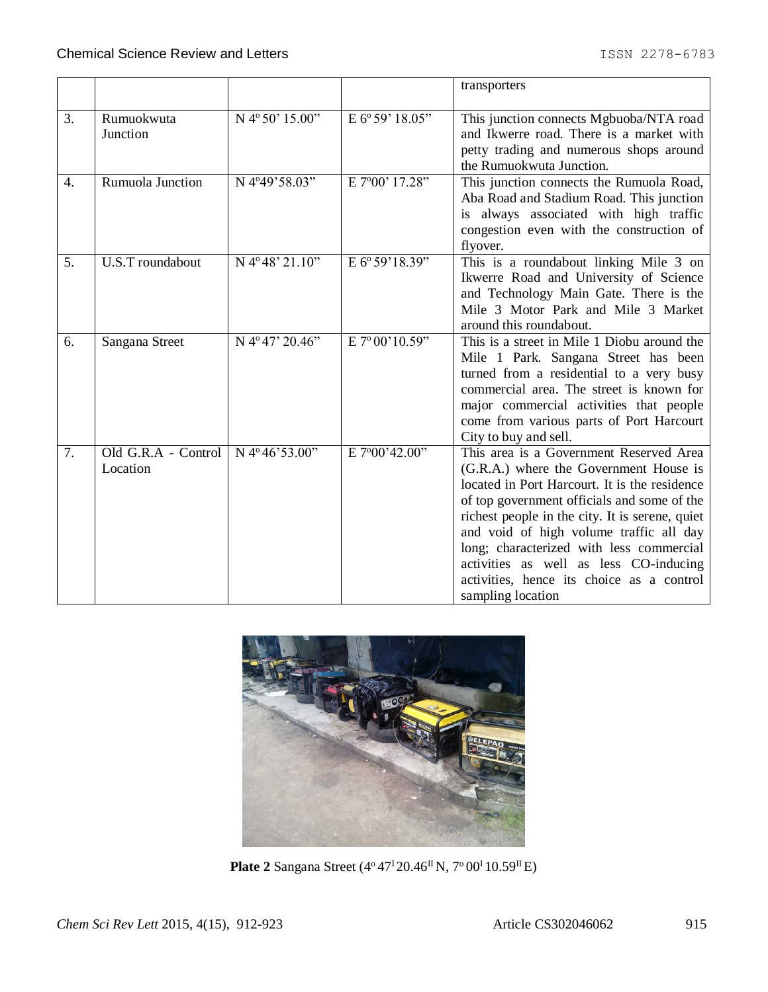|                  |                                 |                        |                 | transporters                                                                                                                                                                                                                                                                                                                                                                                                                            |
|------------------|---------------------------------|------------------------|-----------------|-----------------------------------------------------------------------------------------------------------------------------------------------------------------------------------------------------------------------------------------------------------------------------------------------------------------------------------------------------------------------------------------------------------------------------------------|
| 3.               | Rumuokwuta<br>Junction          | N 4°50' 15.00"         | E 6° 59' 18.05" | This junction connects Mgbuoba/NTA road<br>and Ikwerre road. There is a market with<br>petty trading and numerous shops around<br>the Rumuokwuta Junction.                                                                                                                                                                                                                                                                              |
| $\overline{4}$ . | Rumuola Junction                | N 4°49'58.03"          | E 7°00' 17.28"  | This junction connects the Rumuola Road,<br>Aba Road and Stadium Road. This junction<br>is always associated with high traffic<br>congestion even with the construction of<br>flyover.                                                                                                                                                                                                                                                  |
| 5.               | U.S.T roundabout                | N 4°48' 21.10"         | E 6° 59'18.39"  | This is a roundabout linking Mile 3 on<br>Ikwerre Road and University of Science<br>and Technology Main Gate. There is the<br>Mile 3 Motor Park and Mile 3 Market<br>around this roundabout.                                                                                                                                                                                                                                            |
| 6.               | Sangana Street                  | N 4°47' 20.46"         | E 7° 00'10.59"  | This is a street in Mile 1 Diobu around the<br>Mile 1 Park. Sangana Street has been<br>turned from a residential to a very busy<br>commercial area. The street is known for<br>major commercial activities that people<br>come from various parts of Port Harcourt<br>City to buy and sell.                                                                                                                                             |
| 7.               | Old G.R.A - Control<br>Location | N $4^{\circ}46'53.00"$ | E 7°00'42.00"   | This area is a Government Reserved Area<br>(G.R.A.) where the Government House is<br>located in Port Harcourt. It is the residence<br>of top government officials and some of the<br>richest people in the city. It is serene, quiet<br>and void of high volume traffic all day<br>long; characterized with less commercial<br>activities as well as less CO-inducing<br>activities, hence its choice as a control<br>sampling location |



**Plate 2** Sangana Street (4<sup>o</sup> 47<sup>I</sup> 20.46<sup>II</sup> N, 7<sup>o</sup> 00<sup>I</sup> 10.59<sup>II</sup> E)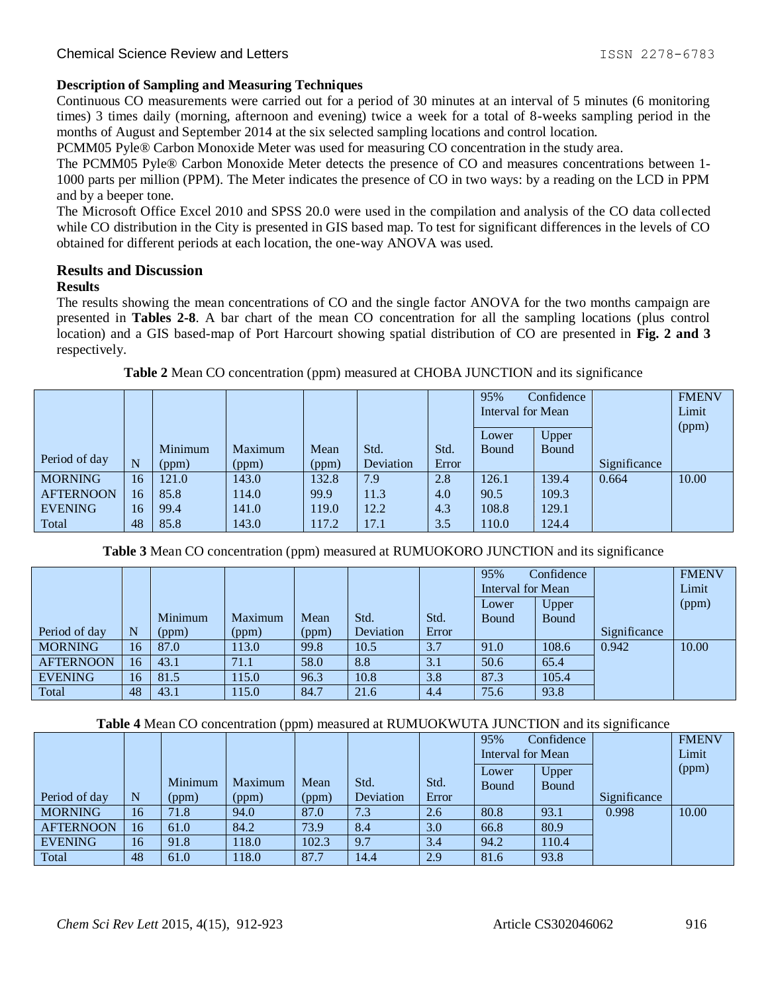# **Description of Sampling and Measuring Techniques**

Continuous CO measurements were carried out for a period of 30 minutes at an interval of 5 minutes (6 monitoring times) 3 times daily (morning, afternoon and evening) twice a week for a total of 8-weeks sampling period in the months of August and September 2014 at the six selected sampling locations and control location.

PCMM05 Pyle® Carbon Monoxide Meter was used for measuring CO concentration in the study area.

The PCMM05 Pyle® Carbon Monoxide Meter detects the presence of CO and measures concentrations between 1- 1000 parts per million (PPM). The Meter indicates the presence of CO in two ways: by a reading on the LCD in PPM and by a beeper tone.

The Microsoft Office Excel 2010 and SPSS 20.0 were used in the compilation and analysis of the CO data collected while CO distribution in the City is presented in GIS based map. To test for significant differences in the levels of CO obtained for different periods at each location, the one-way ANOVA was used.

## **Results and Discussion**

## **Results**

The results showing the mean concentrations of CO and the single factor ANOVA for the two months campaign are presented in **Tables 2-8**. A bar chart of the mean CO concentration for all the sampling locations (plus control location) and a GIS based-map of Port Harcourt showing spatial distribution of CO are presented in **Fig. 2 and 3** respectively.

|                  |    |         |         |       |           |       | 95%               | Confidence |              | <b>FMENV</b> |
|------------------|----|---------|---------|-------|-----------|-------|-------------------|------------|--------------|--------------|
|                  |    |         |         |       |           |       | Interval for Mean |            |              | Limit        |
|                  |    |         |         |       |           |       |                   |            |              | (ppm)        |
|                  |    |         |         |       |           |       | Lower             | Upper      |              |              |
|                  |    | Minimum | Maximum | Mean  | Std.      | Std.  | <b>Bound</b>      | Bound      |              |              |
| Period of day    | N  | (ppm)   | (ppm)   | (ppm) | Deviation | Error |                   |            | Significance |              |
| <b>MORNING</b>   | 16 | 121.0   | 143.0   | 132.8 | 7.9       | 2.8   | 126.1             | 139.4      | 0.664        | 10.00        |
| <b>AFTERNOON</b> | 16 | 85.8    | 114.0   | 99.9  | 11.3      | 4.0   | 90.5              | 109.3      |              |              |
| <b>EVENING</b>   | 16 | 99.4    | 141.0   | 119.0 | 12.2      | 4.3   | 108.8             | 129.1      |              |              |
| Total            | 48 | 85.8    | 143.0   | 117.2 | 17.1      | 3.5   | 110.0             | 124.4      |              |              |

**Table 2** Mean CO concentration (ppm) measured at CHOBA JUNCTION and its significance

**Table 3** Mean CO concentration (ppm) measured at RUMUOKORO JUNCTION and its significance

|                  |                 |         |         |       |           |       | 95%<br>Confidence<br>Interval for Mean |       |              | <b>FMENV</b><br>Limit |
|------------------|-----------------|---------|---------|-------|-----------|-------|----------------------------------------|-------|--------------|-----------------------|
|                  |                 |         |         |       |           |       | Lower                                  | Upper |              | (ppm)                 |
|                  |                 | Minimum | Maximum | Mean  | Std.      | Std.  | Bound                                  | Bound |              |                       |
| Period of day    | N               | (ppm)   | (ppm)   | (ppm) | Deviation | Error |                                        |       | Significance |                       |
| <b>MORNING</b>   | 16 <sup>7</sup> | 87.0    | 113.0   | 99.8  | 10.5      | 3.7   | 91.0                                   | 108.6 | 0.942        | 10.00                 |
| <b>AFTERNOON</b> | l6              | 43.1    | 71.1    | 58.0  | 8.8       | 3.1   | 50.6                                   | 65.4  |              |                       |
| <b>EVENING</b>   | 16 <sup>7</sup> | 81.5    | 115.0   | 96.3  | 10.8      | 3.8   | 87.3                                   | 105.4 |              |                       |
| Total            | 48              | 43.1    | 115.0   | 84.7  | 21.6      | 4.4   | 75.6                                   | 93.8  |              |                       |

#### **Table 4** Mean CO concentration (ppm) measured at RUMUOKWUTA JUNCTION and its significance

|                  |                 |         | $\mathbf{1}$ |       | ັ         |       |                   |              |              |              |
|------------------|-----------------|---------|--------------|-------|-----------|-------|-------------------|--------------|--------------|--------------|
|                  |                 |         |              |       |           |       | 95%               | Confidence   |              | <b>FMENV</b> |
|                  |                 |         |              |       |           |       | Interval for Mean |              |              | Limit        |
|                  |                 |         |              |       |           |       | Lower             | Upper        |              | (ppm)        |
|                  |                 | Minimum | Maximum      | Mean  | Std.      | Std.  | <b>Bound</b>      | <b>Bound</b> |              |              |
| Period of day    | N               | (ppm)   | (ppm)        | (ppm) | Deviation | Error |                   |              | Significance |              |
| <b>MORNING</b>   | 16 <sup>7</sup> | 71.8    | 94.0         | 87.0  | 7.3       | 2.6   | 80.8              | 93.1         | 0.998        | 10.00        |
| <b>AFTERNOON</b> | 16              | 61.0    | 84.2         | 73.9  | 8.4       | 3.0   | 66.8              | 80.9         |              |              |
| <b>EVENING</b>   | 16              | 91.8    | 18.0         | 102.3 | 9.7       | 3.4   | 94.2              | 10.4         |              |              |
| Total            | 48              | 61.0    | 18.0         | 87.7  | 14.4      | 2.9   | 81.6              | 93.8         |              |              |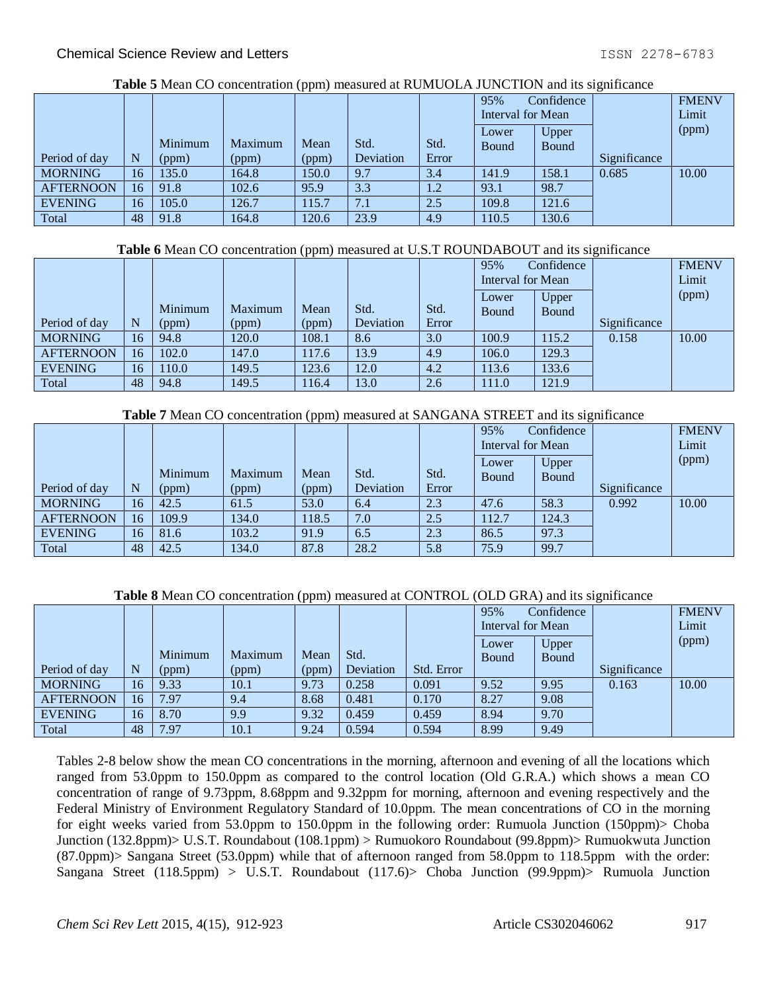| Tuble & Mean CO concentration (ppm) measured at NorthCollits of (CTION) and no significance |                 |         |         |       |           |       |                   |              |              |              |  |  |  |
|---------------------------------------------------------------------------------------------|-----------------|---------|---------|-------|-----------|-------|-------------------|--------------|--------------|--------------|--|--|--|
|                                                                                             |                 |         |         |       |           |       | 95%               | Confidence   |              | <b>FMENV</b> |  |  |  |
|                                                                                             |                 |         |         |       |           |       | Interval for Mean |              |              | Limit        |  |  |  |
|                                                                                             |                 |         |         |       |           |       | Lower             | Upper        |              | (ppm)        |  |  |  |
|                                                                                             |                 | Minimum | Maximum | Mean  | Std.      | Std.  | Bound             | <b>Bound</b> |              |              |  |  |  |
| Period of day                                                                               | N               | (ppm)   | (ppm)   | (ppm) | Deviation | Error |                   |              | Significance |              |  |  |  |
| <b>MORNING</b>                                                                              | 16              | 135.0   | 164.8   | 150.0 | 9.7       | 3.4   | 141.9             | 158.1        | 0.685        | 10.00        |  |  |  |
| <b>AFTERNOON</b>                                                                            | 16              | 91.8    | 102.6   | 95.9  | 3.3       | 1.2   | 93.1              | 98.7         |              |              |  |  |  |
| <b>EVENING</b>                                                                              | 16 <sup>1</sup> | 105.0   | 126.7   | 115.7 | 7.1       | 2.5   | 109.8             | 121.6        |              |              |  |  |  |
| Total                                                                                       | 48              | 91.8    | 164.8   | 120.6 | 23.9      | 4.9   | 110.5             | 130.6        |              |              |  |  |  |

## **Table 5** Mean CO concentration (ppm) measured at RUMUOLA JUNCTION and its significance

#### **Table 6** Mean CO concentration (ppm) measured at U.S.T ROUNDABOUT and its significance

|                  |    |         |         | .     |           |       | 95%               | Confidence   |              | <b>FMENV</b> |
|------------------|----|---------|---------|-------|-----------|-------|-------------------|--------------|--------------|--------------|
|                  |    |         |         |       |           |       | Interval for Mean |              |              | Limit        |
|                  |    |         |         |       |           |       | Lower             | Upper        |              | (ppm)        |
|                  |    | Minimum | Maximum | Mean  | Std.      | Std.  | <b>Bound</b>      | <b>Bound</b> |              |              |
| Period of day    | N  | (ppm)   | (ppm)   | (ppm) | Deviation | Error |                   |              | Significance |              |
| <b>MORNING</b>   | 16 | 94.8    | 120.0   | 108.1 | 8.6       | 3.0   | 100.9             | 15.2         | 0.158        | 10.00        |
| <b>AFTERNOON</b> | 16 | 102.0   | 147.0   | 117.6 | 13.9      | 4.9   | 106.0             | 129.3        |              |              |
| <b>EVENING</b>   | 16 | 110.0   | 149.5   | 123.6 | 12.0      | 4.2   | 113.6             | 133.6        |              |              |
| Total            | 48 | 94.8    | 149.5   | 16.4  | 13.0      | 2.6   | 111.0             | 121.9        |              |              |

#### **Table 7** Mean CO concentration (ppm) measured at SANGANA STREET and its significance

|                  |    |         |         |       |           |       | 95%               | Confidence |              | <b>FMENV</b> |
|------------------|----|---------|---------|-------|-----------|-------|-------------------|------------|--------------|--------------|
|                  |    |         |         |       |           |       | Interval for Mean |            |              | Limit        |
|                  |    |         |         |       |           |       | Lower             | Upper      |              | (ppm)        |
|                  |    | Minimum | Maximum | Mean  | Std.      | Std.  | Bound             | Bound      |              |              |
| Period of day    | N  | (ppm)   | (ppm)   | (ppm) | Deviation | Error |                   |            | Significance |              |
| <b>MORNING</b>   | 16 | 42.5    | 61.5    | 53.0  | 6.4       | 2.3   | 47.6              | 58.3       | 0.992        | 10.00        |
| <b>AFTERNOON</b> | 16 | 109.9   | 134.0   | 118.5 | 7.0       | 2.5   | 112.7             | 124.3      |              |              |
| <b>EVENING</b>   | 16 | 81.6    | 103.2   | 91.9  | 6.5       | 2.3   | 86.5              | 97.3       |              |              |
| Total            | 48 | 42.5    | 134.0   | 87.8  | 28.2      | 5.8   | 75.9              | 99.7       |              |              |

# **Table 8** Mean CO concentration (ppm) measured at CONTROL (OLD GRA) and its significance

|                  |    |         |         | $ -$  |           |            |                   |              |              |              |
|------------------|----|---------|---------|-------|-----------|------------|-------------------|--------------|--------------|--------------|
|                  |    |         |         |       |           |            | 95%               | Confidence   |              | <b>FMENV</b> |
|                  |    |         |         |       |           |            | Interval for Mean |              |              | Limit        |
|                  |    |         |         |       |           |            | Lower             | Upper        |              | (ppm)        |
|                  |    | Minimum | Maximum | Mean  | Std.      |            | <b>Bound</b>      | <b>Bound</b> |              |              |
| Period of day    | N  | (ppm)   | (ppm)   | (ppm) | Deviation | Std. Error |                   |              | Significance |              |
| <b>MORNING</b>   | 16 | 9.33    | 10.1    | 9.73  | 0.258     | 0.091      | 9.52              | 9.95         | 0.163        | 10.00        |
| <b>AFTERNOON</b> | 16 | 7.97    | 9.4     | 8.68  | 0.481     | 0.170      | 8.27              | 9.08         |              |              |
| <b>EVENING</b>   | 16 | 8.70    | 9.9     | 9.32  | 0.459     | 0.459      | 8.94              | 9.70         |              |              |
| Total            | 48 | 7.97    | 10.1    | 9.24  | 0.594     | 0.594      | 8.99              | 9.49         |              |              |

Tables 2-8 below show the mean CO concentrations in the morning, afternoon and evening of all the locations which ranged from 53.0ppm to 150.0ppm as compared to the control location (Old G.R.A.) which shows a mean CO concentration of range of 9.73ppm, 8.68ppm and 9.32ppm for morning, afternoon and evening respectively and the Federal Ministry of Environment Regulatory Standard of 10.0ppm. The mean concentrations of CO in the morning for eight weeks varied from 53.0ppm to 150.0ppm in the following order: Rumuola Junction (150ppm)> Choba Junction (132.8ppm)> U.S.T. Roundabout (108.1ppm) > Rumuokoro Roundabout (99.8ppm)> Rumuokwuta Junction (87.0ppm)> Sangana Street (53.0ppm) while that of afternoon ranged from 58.0ppm to 118.5ppm with the order: Sangana Street (118.5ppm) > U.S.T. Roundabout (117.6)> Choba Junction (99.9ppm)> Rumuola Junction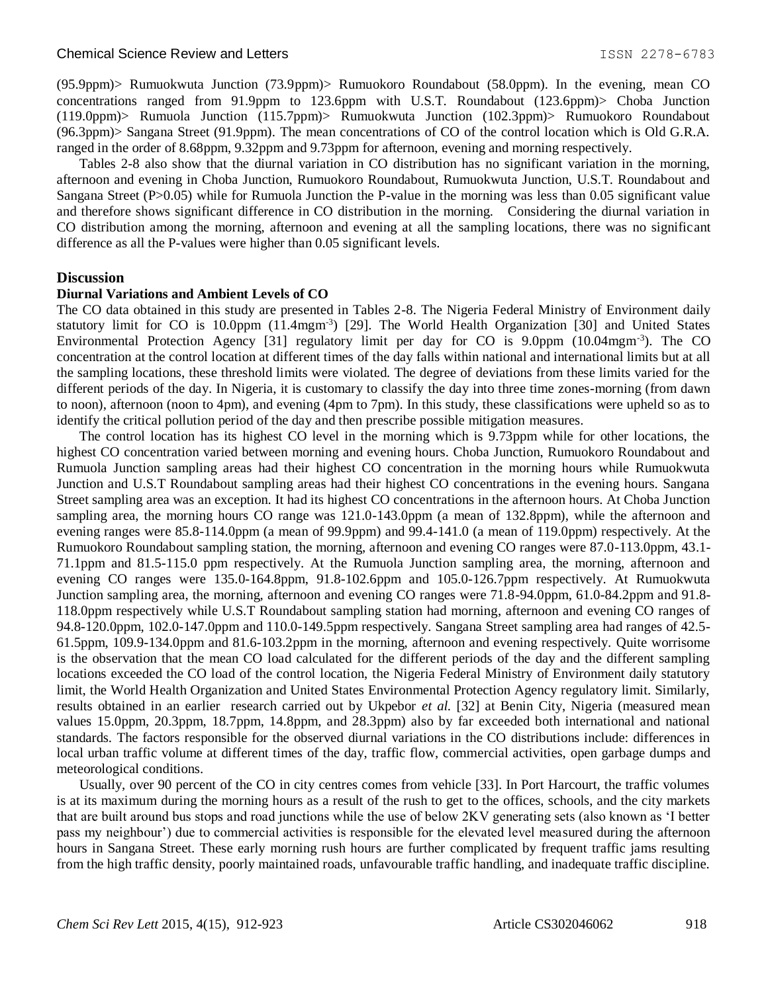#### Chemical Science Review and Letters **ISSN 2278-6783** 1SSN 2278-6783

(95.9ppm)> Rumuokwuta Junction (73.9ppm)> Rumuokoro Roundabout (58.0ppm). In the evening, mean CO concentrations ranged from 91.9ppm to 123.6ppm with U.S.T. Roundabout (123.6ppm)> Choba Junction (119.0ppm)> Rumuola Junction (115.7ppm)> Rumuokwuta Junction (102.3ppm)> Rumuokoro Roundabout (96.3ppm)> Sangana Street (91.9ppm). The mean concentrations of CO of the control location which is Old G.R.A. ranged in the order of 8.68ppm, 9.32ppm and 9.73ppm for afternoon, evening and morning respectively.

Tables 2-8 also show that the diurnal variation in CO distribution has no significant variation in the morning, afternoon and evening in Choba Junction, Rumuokoro Roundabout, Rumuokwuta Junction, U.S.T. Roundabout and Sangana Street (P>0.05) while for Rumuola Junction the P-value in the morning was less than 0.05 significant value and therefore shows significant difference in CO distribution in the morning. Considering the diurnal variation in CO distribution among the morning, afternoon and evening at all the sampling locations, there was no significant difference as all the P-values were higher than 0.05 significant levels.

## **Discussion**

#### **Diurnal Variations and Ambient Levels of CO**

The CO data obtained in this study are presented in Tables 2-8. The Nigeria Federal Ministry of Environment daily statutory limit for CO is 10.0ppm (11.4mgm<sup>-3</sup>) [29]. The World Health Organization [30] and United States Environmental Protection Agency [31] regulatory limit per day for CO is 9.0ppm (10.04mgm<sup>-3</sup>). The CO concentration at the control location at different times of the day falls within national and international limits but at all the sampling locations, these threshold limits were violated. The degree of deviations from these limits varied for the different periods of the day. In Nigeria, it is customary to classify the day into three time zones-morning (from dawn to noon), afternoon (noon to 4pm), and evening (4pm to 7pm). In this study, these classifications were upheld so as to identify the critical pollution period of the day and then prescribe possible mitigation measures.

The control location has its highest CO level in the morning which is 9.73ppm while for other locations, the highest CO concentration varied between morning and evening hours. Choba Junction, Rumuokoro Roundabout and Rumuola Junction sampling areas had their highest CO concentration in the morning hours while Rumuokwuta Junction and U.S.T Roundabout sampling areas had their highest CO concentrations in the evening hours. Sangana Street sampling area was an exception. It had its highest CO concentrations in the afternoon hours. At Choba Junction sampling area, the morning hours CO range was  $121.0-143.0$ ppm (a mean of 132.8ppm), while the afternoon and evening ranges were 85.8-114.0ppm (a mean of 99.9ppm) and 99.4-141.0 (a mean of 119.0ppm) respectively. At the Rumuokoro Roundabout sampling station, the morning, afternoon and evening CO ranges were 87.0-113.0ppm, 43.1- 71.1ppm and 81.5-115.0 ppm respectively. At the Rumuola Junction sampling area, the morning, afternoon and evening CO ranges were 135.0-164.8ppm, 91.8-102.6ppm and 105.0-126.7ppm respectively. At Rumuokwuta Junction sampling area, the morning, afternoon and evening CO ranges were 71.8-94.0ppm, 61.0-84.2ppm and 91.8- 118.0ppm respectively while U.S.T Roundabout sampling station had morning, afternoon and evening CO ranges of 94.8-120.0ppm, 102.0-147.0ppm and 110.0-149.5ppm respectively. Sangana Street sampling area had ranges of 42.5- 61.5ppm, 109.9-134.0ppm and 81.6-103.2ppm in the morning, afternoon and evening respectively. Quite worrisome is the observation that the mean CO load calculated for the different periods of the day and the different sampling locations exceeded the CO load of the control location, the Nigeria Federal Ministry of Environment daily statutory limit, the World Health Organization and United States Environmental Protection Agency regulatory limit. Similarly, results obtained in an earlier research carried out by Ukpebor *et al.* [32] at Benin City, Nigeria (measured mean values 15.0ppm, 20.3ppm, 18.7ppm, 14.8ppm, and 28.3ppm) also by far exceeded both international and national standards. The factors responsible for the observed diurnal variations in the CO distributions include: differences in local urban traffic volume at different times of the day, traffic flow, commercial activities, open garbage dumps and meteorological conditions.

Usually, over 90 percent of the CO in city centres comes from vehicle [33]. In Port Harcourt, the traffic volumes is at its maximum during the morning hours as a result of the rush to get to the offices, schools, and the city markets that are built around bus stops and road junctions while the use of below 2KV generating sets (also known as 'I better pass my neighbour') due to commercial activities is responsible for the elevated level measured during the afternoon hours in Sangana Street. These early morning rush hours are further complicated by frequent traffic jams resulting from the high traffic density, poorly maintained roads, unfavourable traffic handling, and inadequate traffic discipline.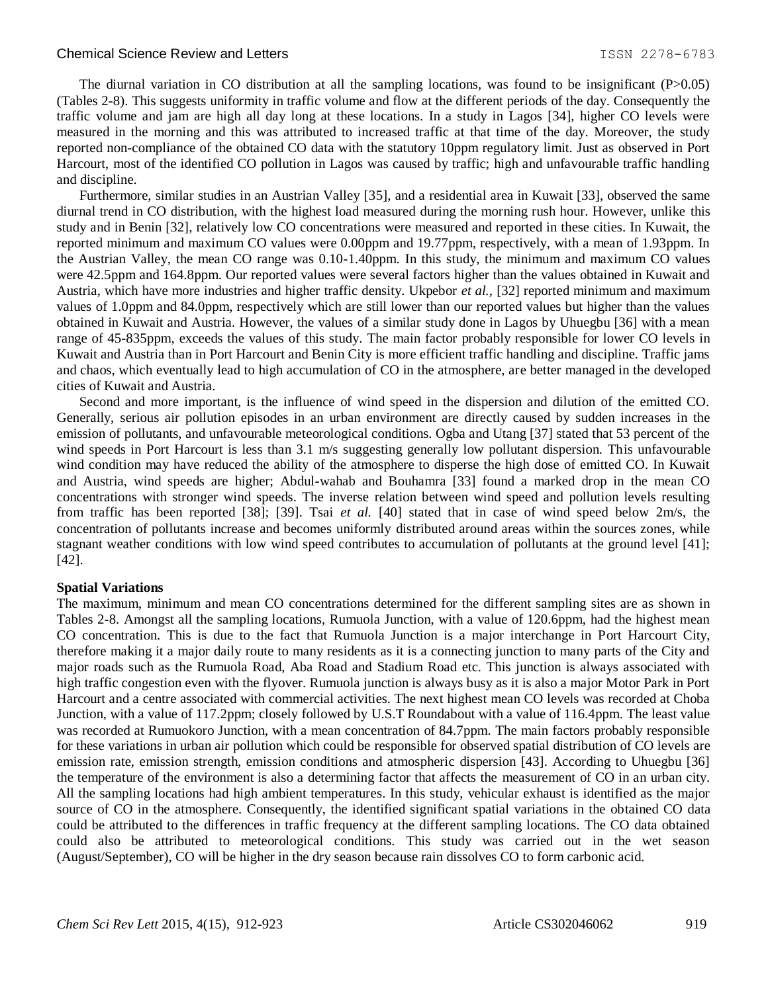#### Chemical Science Review and Letters **ISSN 2278-6783** 1SSN 2278-6783

The diurnal variation in CO distribution at all the sampling locations, was found to be insignificant (P>0.05) (Tables 2-8). This suggests uniformity in traffic volume and flow at the different periods of the day. Consequently the traffic volume and jam are high all day long at these locations. In a study in Lagos [34], higher CO levels were measured in the morning and this was attributed to increased traffic at that time of the day. Moreover, the study reported non-compliance of the obtained CO data with the statutory 10ppm regulatory limit. Just as observed in Port Harcourt, most of the identified CO pollution in Lagos was caused by traffic; high and unfavourable traffic handling and discipline.

Furthermore, similar studies in an Austrian Valley [35], and a residential area in Kuwait [33], observed the same diurnal trend in CO distribution, with the highest load measured during the morning rush hour. However, unlike this study and in Benin [32], relatively low CO concentrations were measured and reported in these cities. In Kuwait, the reported minimum and maximum CO values were 0.00ppm and 19.77ppm, respectively, with a mean of 1.93ppm. In the Austrian Valley, the mean CO range was 0.10-1.40ppm. In this study, the minimum and maximum CO values were 42.5ppm and 164.8ppm. Our reported values were several factors higher than the values obtained in Kuwait and Austria, which have more industries and higher traffic density. Ukpebor *et al.,* [32] reported minimum and maximum values of 1.0ppm and 84.0ppm, respectively which are still lower than our reported values but higher than the values obtained in Kuwait and Austria. However, the values of a similar study done in Lagos by Uhuegbu [36] with a mean range of 45-835ppm, exceeds the values of this study. The main factor probably responsible for lower CO levels in Kuwait and Austria than in Port Harcourt and Benin City is more efficient traffic handling and discipline. Traffic jams and chaos, which eventually lead to high accumulation of CO in the atmosphere, are better managed in the developed cities of Kuwait and Austria.

Second and more important, is the influence of wind speed in the dispersion and dilution of the emitted CO. Generally, serious air pollution episodes in an urban environment are directly caused by sudden increases in the emission of pollutants, and unfavourable meteorological conditions. Ogba and Utang [37] stated that 53 percent of the wind speeds in Port Harcourt is less than 3.1 m/s suggesting generally low pollutant dispersion. This unfavourable wind condition may have reduced the ability of the atmosphere to disperse the high dose of emitted CO. In Kuwait and Austria, wind speeds are higher; Abdul-wahab and Bouhamra [33] found a marked drop in the mean CO concentrations with stronger wind speeds. The inverse relation between wind speed and pollution levels resulting from traffic has been reported [38]; [39]. Tsai *et al.* [40] stated that in case of wind speed below 2m/s, the concentration of pollutants increase and becomes uniformly distributed around areas within the sources zones, while stagnant weather conditions with low wind speed contributes to accumulation of pollutants at the ground level [41]; [42].

#### **Spatial Variations**

The maximum, minimum and mean CO concentrations determined for the different sampling sites are as shown in Tables 2-8. Amongst all the sampling locations, Rumuola Junction, with a value of 120.6ppm, had the highest mean CO concentration. This is due to the fact that Rumuola Junction is a major interchange in Port Harcourt City, therefore making it a major daily route to many residents as it is a connecting junction to many parts of the City and major roads such as the Rumuola Road, Aba Road and Stadium Road etc. This junction is always associated with high traffic congestion even with the flyover. Rumuola junction is always busy as it is also a major Motor Park in Port Harcourt and a centre associated with commercial activities. The next highest mean CO levels was recorded at Choba Junction, with a value of 117.2ppm; closely followed by U.S.T Roundabout with a value of 116.4ppm. The least value was recorded at Rumuokoro Junction, with a mean concentration of 84.7ppm. The main factors probably responsible for these variations in urban air pollution which could be responsible for observed spatial distribution of CO levels are emission rate, emission strength, emission conditions and atmospheric dispersion [43]. According to Uhuegbu [36] the temperature of the environment is also a determining factor that affects the measurement of CO in an urban city. All the sampling locations had high ambient temperatures. In this study, vehicular exhaust is identified as the major source of CO in the atmosphere. Consequently, the identified significant spatial variations in the obtained CO data could be attributed to the differences in traffic frequency at the different sampling locations. The CO data obtained could also be attributed to meteorological conditions. This study was carried out in the wet season (August/September), CO will be higher in the dry season because rain dissolves CO to form carbonic acid.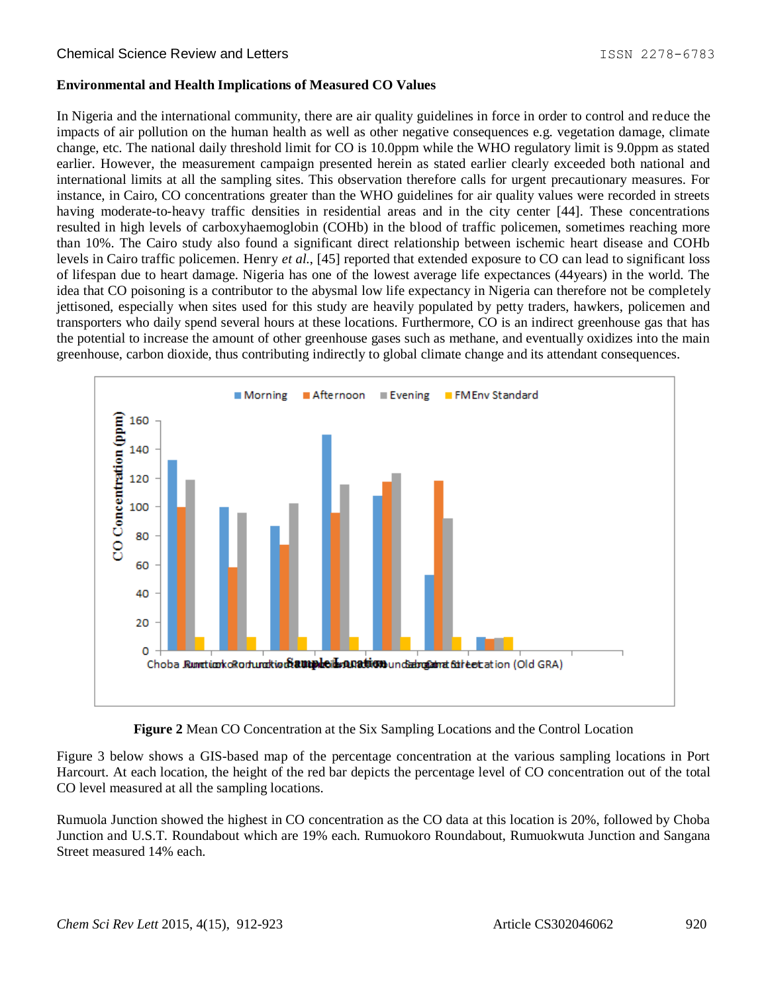#### **Environmental and Health Implications of Measured CO Values**

In Nigeria and the international community, there are air quality guidelines in force in order to control and reduce the impacts of air pollution on the human health as well as other negative consequences e.g. vegetation damage, climate change, etc. The national daily threshold limit for CO is 10.0ppm while the WHO regulatory limit is 9.0ppm as stated earlier. However, the measurement campaign presented herein as stated earlier clearly exceeded both national and international limits at all the sampling sites. This observation therefore calls for urgent precautionary measures. For instance, in Cairo, CO concentrations greater than the WHO guidelines for air quality values were recorded in streets having moderate-to-heavy traffic densities in residential areas and in the city center [44]. These concentrations resulted in high levels of carboxyhaemoglobin (COHb) in the blood of traffic policemen, sometimes reaching more than 10%. The Cairo study also found a significant direct relationship between ischemic heart disease and COHb levels in Cairo traffic policemen. Henry *et al.*, [45] reported that extended exposure to CO can lead to significant loss of lifespan due to heart damage. Nigeria has one of the lowest average life expectances (44years) in the world. The idea that CO poisoning is a contributor to the abysmal low life expectancy in Nigeria can therefore not be completely jettisoned, especially when sites used for this study are heavily populated by petty traders, hawkers, policemen and transporters who daily spend several hours at these locations. Furthermore, CO is an indirect greenhouse gas that has the potential to increase the amount of other greenhouse gases such as methane, and eventually oxidizes into the main greenhouse, carbon dioxide, thus contributing indirectly to global climate change and its attendant consequences.





Figure 3 below shows a GIS-based map of the percentage concentration at the various sampling locations in Port Harcourt. At each location, the height of the red bar depicts the percentage level of CO concentration out of the total CO level measured at all the sampling locations.

Rumuola Junction showed the highest in CO concentration as the CO data at this location is 20%, followed by Choba Junction and U.S.T. Roundabout which are 19% each. Rumuokoro Roundabout, Rumuokwuta Junction and Sangana Street measured 14% each.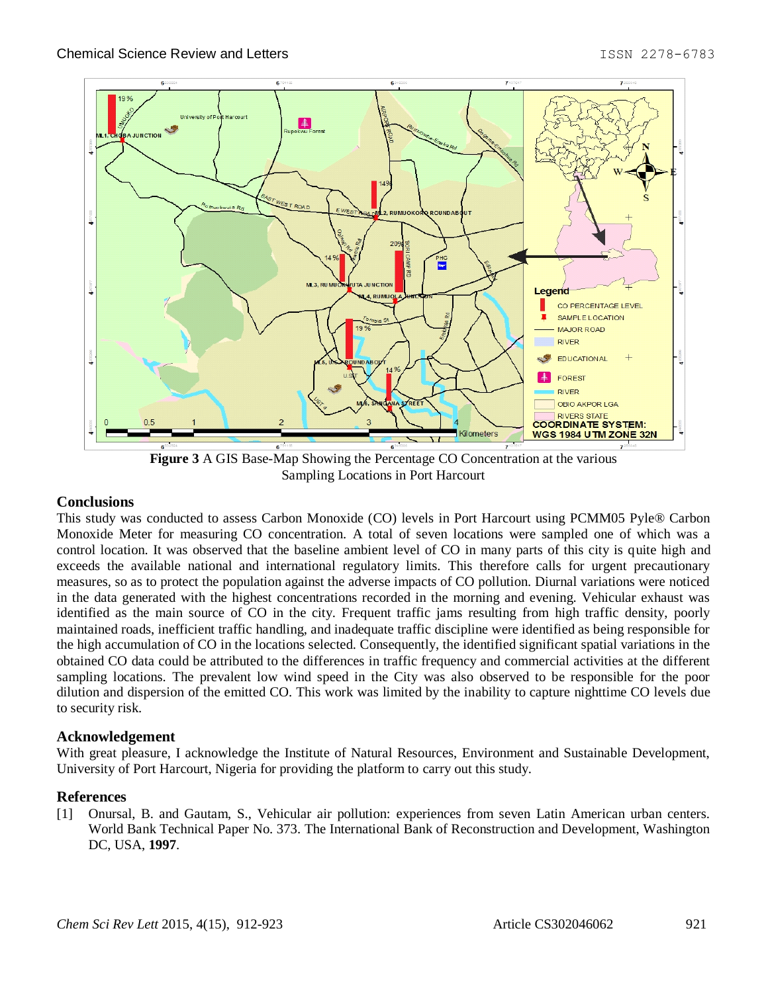

**Figure 3** A GIS Base-Map Showing the Percentage CO Concentration at the various Sampling Locations in Port Harcourt

# **Conclusions**

This study was conducted to assess Carbon Monoxide (CO) levels in Port Harcourt using PCMM05 Pyle® Carbon Monoxide Meter for measuring CO concentration. A total of seven locations were sampled one of which was a control location. It was observed that the baseline ambient level of CO in many parts of this city is quite high and exceeds the available national and international regulatory limits. This therefore calls for urgent precautionary measures, so as to protect the population against the adverse impacts of CO pollution. Diurnal variations were noticed in the data generated with the highest concentrations recorded in the morning and evening. Vehicular exhaust was identified as the main source of CO in the city. Frequent traffic jams resulting from high traffic density, poorly maintained roads, inefficient traffic handling, and inadequate traffic discipline were identified as being responsible for the high accumulation of CO in the locations selected. Consequently, the identified significant spatial variations in the obtained CO data could be attributed to the differences in traffic frequency and commercial activities at the different sampling locations. The prevalent low wind speed in the City was also observed to be responsible for the poor dilution and dispersion of the emitted CO. This work was limited by the inability to capture nighttime CO levels due to security risk.

#### **Acknowledgement**

With great pleasure, I acknowledge the Institute of Natural Resources, Environment and Sustainable Development, University of Port Harcourt, Nigeria for providing the platform to carry out this study.

#### **References**

[1] Onursal, B. and Gautam, S., Vehicular air pollution: experiences from seven Latin American urban centers. World Bank Technical Paper No. 373. The International Bank of Reconstruction and Development, Washington DC, USA, **1997**.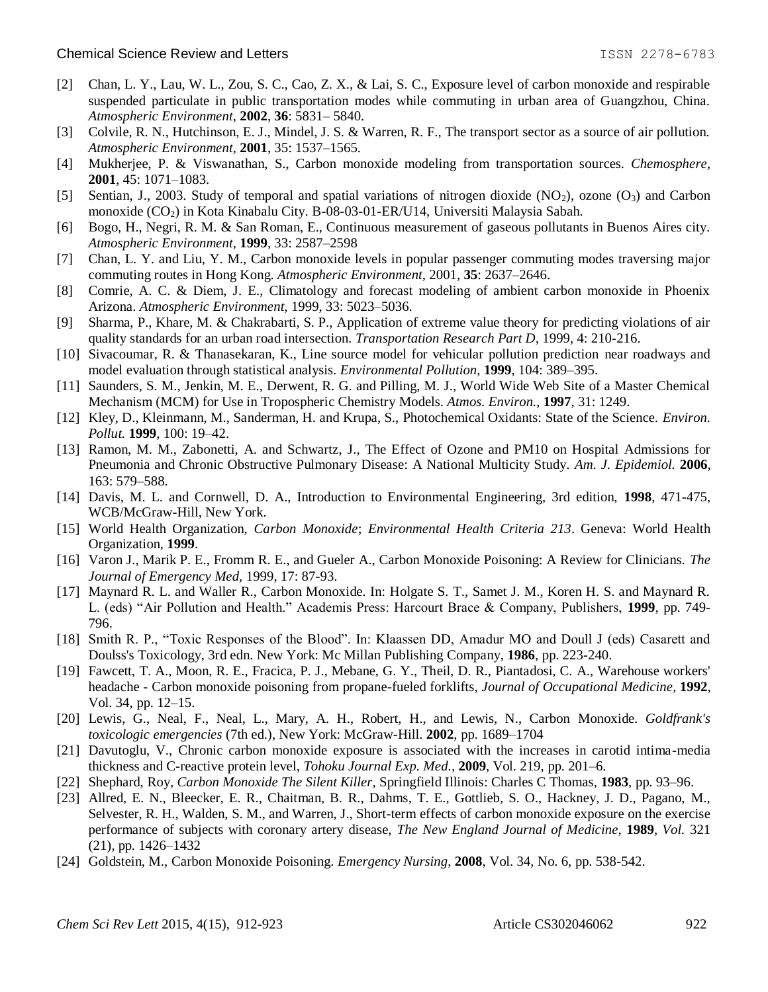- [2] Chan, L. Y., Lau, W. L., Zou, S. C., Cao, Z. X., & Lai, S. C., Exposure level of carbon monoxide and respirable suspended particulate in public transportation modes while commuting in urban area of Guangzhou, China. *Atmospheric Environment,* **2002**, **36**: 5831– 5840.
- [3] Colvile, R. N., Hutchinson, E. J., Mindel, J. S. & Warren, R. F., The transport sector as a source of air pollution. *Atmospheric Environment,* **2001**, 35: 1537–1565.
- [4] Mukherjee, P. & Viswanathan, S., Carbon monoxide modeling from transportation sources. *Chemosphere,*  **2001**, 45: 1071–1083.
- [5] Sentian, J., 2003. Study of temporal and spatial variations of nitrogen dioxide (NO<sub>2</sub>), ozone (O<sub>3</sub>) and Carbon monoxide (CO2) in Kota Kinabalu City. B-08-03-01-ER/U14, Universiti Malaysia Sabah.
- [6] Bogo, H., Negri, R. M. & San Roman, E., Continuous measurement of gaseous pollutants in Buenos Aires city. *Atmospheric Environment,* **1999**, 33: 2587–2598
- [7] Chan, L. Y. and Liu, Y. M., Carbon monoxide levels in popular passenger commuting modes traversing major commuting routes in Hong Kong. *Atmospheric Environment,* 2001, **35**: 2637–2646.
- [8] Comrie, A. C. & Diem, J. E., Climatology and forecast modeling of ambient carbon monoxide in Phoenix Arizona. *Atmospheric Environment,* 1999, 33: 5023–5036.
- [9] Sharma, P., Khare, M. & Chakrabarti, S. P., Application of extreme value theory for predicting violations of air quality standards for an urban road intersection. *Transportation Research Part D,* 1999, 4: 210-216.
- [10] Sivacoumar, R. & Thanasekaran, K., Line source model for vehicular pollution prediction near roadways and model evaluation through statistical analysis. *Environmental Pollution,* **1999**, 104: 389–395.
- [11] Saunders, S. M., Jenkin, M. E., Derwent, R. G. and Pilling, M. J., World Wide Web Site of a Master Chemical Mechanism (MCM) for Use in Tropospheric Chemistry Models. *Atmos. Environ.,* **1997**, 31: 1249.
- [12] Kley, D., Kleinmann, M., Sanderman, H. and Krupa, S., Photochemical Oxidants: State of the Science. *Environ. Pollut.* **1999**, 100: 19–42.
- [13] Ramon, M. M., Zabonetti, A. and Schwartz, J., The Effect of Ozone and PM10 on Hospital Admissions for Pneumonia and Chronic Obstructive Pulmonary Disease: A National Multicity Study. *Am. J. Epidemiol.* **2006**, 163: 579–588.
- [14] Davis, M. L. and Cornwell, D. A., Introduction to Environmental Engineering, 3rd edition, **1998**, 471-475, WCB/McGraw-Hill, New York.
- [15] World Health Organization, *Carbon Monoxide*; *Environmental Health Criteria 213*. Geneva: World Health Organization, **1999**.
- [16] Varon J., Marik P. E., Fromm R. E., and Gueler A., Carbon Monoxide Poisoning: A Review for Clinicians. *The Journal of Emergency Med,* 1999, 17: 87-93.
- [17] Maynard R. L. and Waller R., Carbon Monoxide. In: Holgate S. T., Samet J. M., Koren H. S. and Maynard R. L. (eds) "Air Pollution and Health." Academis Press: Harcourt Brace & Company, Publishers, **1999**, pp. 749- 796.
- [18] Smith R. P., "Toxic Responses of the Blood". In: Klaassen DD, Amadur MO and Doull J (eds) Casarett and Doulss's Toxicology, 3rd edn. New York: Mc Millan Publishing Company, **1986**, pp. 223-240.
- [19] Fawcett, T. A., Moon, R. E., Fracica, P. J., Mebane, G. Y., Theil, D. R., Piantadosi, C. A., Warehouse workers' headache - Carbon monoxide poisoning from propane-fueled forklifts, *Journal of Occupational Medicine,* **1992**, Vol. 34, pp. 12–15.
- [20] Lewis, G., Neal, F., Neal, L., Mary, A. H., Robert, H., and Lewis, N., Carbon Monoxide. *Goldfrank's toxicologic emergencies* (7th ed.), New York: McGraw-Hill. **2002**, pp. 1689–1704
- [21] Davutoglu, V., Chronic carbon monoxide exposure is associated with the increases in carotid intima-media thickness and C-reactive protein level, *Tohoku Journal Exp. Med.,* **2009**, Vol. 219, pp. 201–6.
- [22] Shephard, Roy, *Carbon Monoxide The Silent Killer,* Springfield Illinois: Charles C Thomas, **1983**, pp. 93–96.
- [23] Allred, E. N., Bleecker, E. R., Chaitman, B. R., Dahms, T. E., Gottlieb, S. O., Hackney, J. D., Pagano, M., Selvester, R. H., Walden, S. M., and Warren, J., Short-term effects of carbon monoxide exposure on the exercise performance of subjects with coronary artery disease, *The New England Journal of Medicine,* **1989**, *Vol.* 321 (21), pp. 1426–1432
- [24] Goldstein, M., Carbon Monoxide Poisoning. *Emergency Nursing*, **2008**, Vol. 34, No. 6, pp. 538-542.